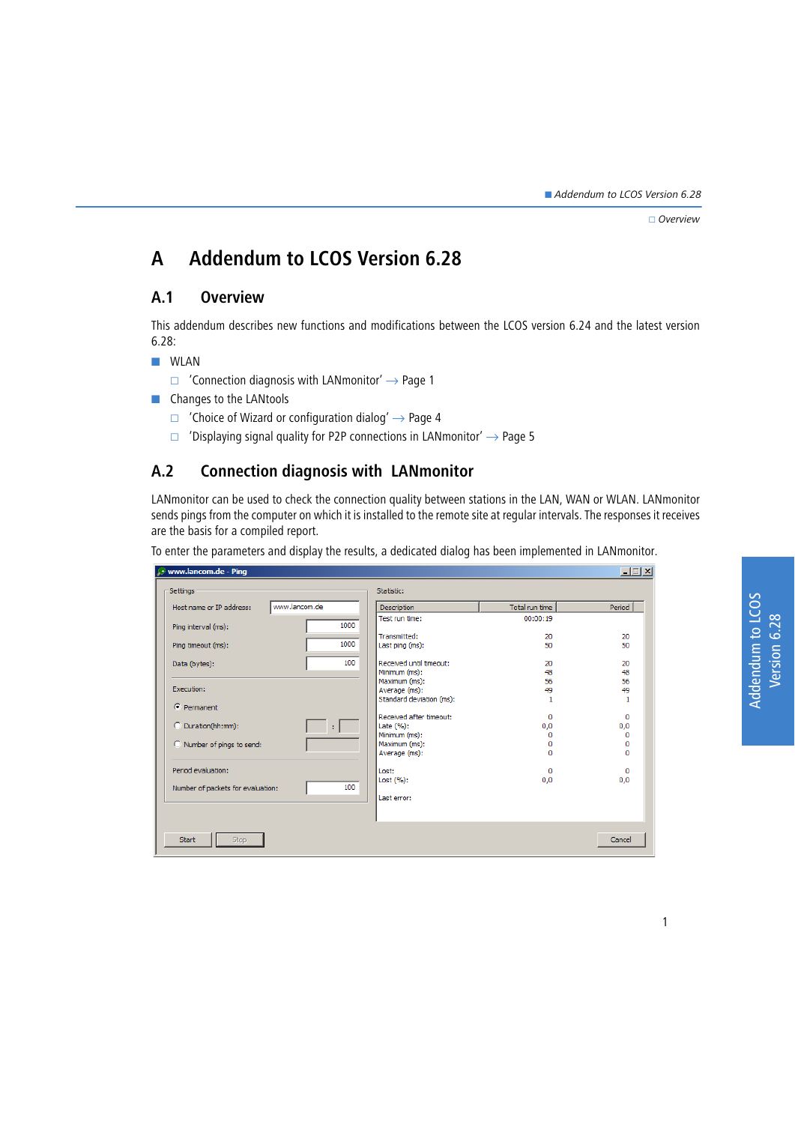$\Box$  Overview

# **A Addendum to LCOS Version 6.28**

## **A.1 Overview**

This addendum describes new functions and modifications between the LCOS version 6.24 and the latest version 6.28:

 $\blacksquare$  WLAN

- $\Box$  ['Connection diagnosis with LANmonitor'](#page-0-0)  $\rightarrow$  Page 1
- **EX Changes to the LANtools** 
	- $\Box$  ['Choice of Wizard or configuration dialog'](#page-3-0)  $\rightarrow$  Page 4
	- $\Box$  ['Displaying signal quality for P2P connections in LANmonitor'](#page-4-0)  $\rightarrow$  Page 5

# <span id="page-0-0"></span>**A.2 Connection diagnosis with LANmonitor**

LANmonitor can be used to check the connection quality between stations in the LAN, WAN or WLAN. LANmonitor sends pings from the computer on which it is installed to the remote site at regular intervals. The responses it receives are the basis for a compiled report.

To enter the parameters and display the results, a dedicated dialog has been implemented in LANmonitor.

| www.lancom.de - Ping<br>$ \Box$ $\times$ |               |                                 |                |          |
|------------------------------------------|---------------|---------------------------------|----------------|----------|
| Settings -                               |               | Statistic:                      |                |          |
| Host name or IP address:                 | www.lancom.de | Description                     | Total run time | Period   |
| Ping interval (ms):                      | 1000          | Test run time:                  | 00:00:19       |          |
| Ping timeout (ms):                       | 1000          | Transmitted:<br>Last ping (ms): | 20<br>50       | 20<br>50 |
| Data (bytes):                            | 100           | Received until timeout:         | 20             | 20       |
|                                          |               | Minimum (ms):                   | 48             | 48<br>56 |
| Execution:                               |               | Maximum (ms):<br>Average (ms):  | 56<br>49       | 49       |
| $\epsilon$ Permanent                     |               | Standard deviation (ms):        |                | 1        |
|                                          |               | Received after timeout:         | $\Omega$       | $\Omega$ |
| C Duration(hh:mm):                       | ÷.            | Late (%):                       | 0,0            | 0,0      |
| C Number of pings to send:               |               | Minimum (ms):<br>Maximum (ms):  | 0<br>0         | 0<br>0   |
|                                          |               | Average (ms):                   | 0              | o        |
| Period evaluation:                       |               | Lost:                           | 0              | o        |
| Number of packets for evaluation:        | 100           | Last (%):                       | 0,0            | 0,0      |
|                                          |               | Last error:                     |                |          |
|                                          |               |                                 |                |          |
| <b>Start</b><br>Stop.                    |               |                                 |                | Cancel   |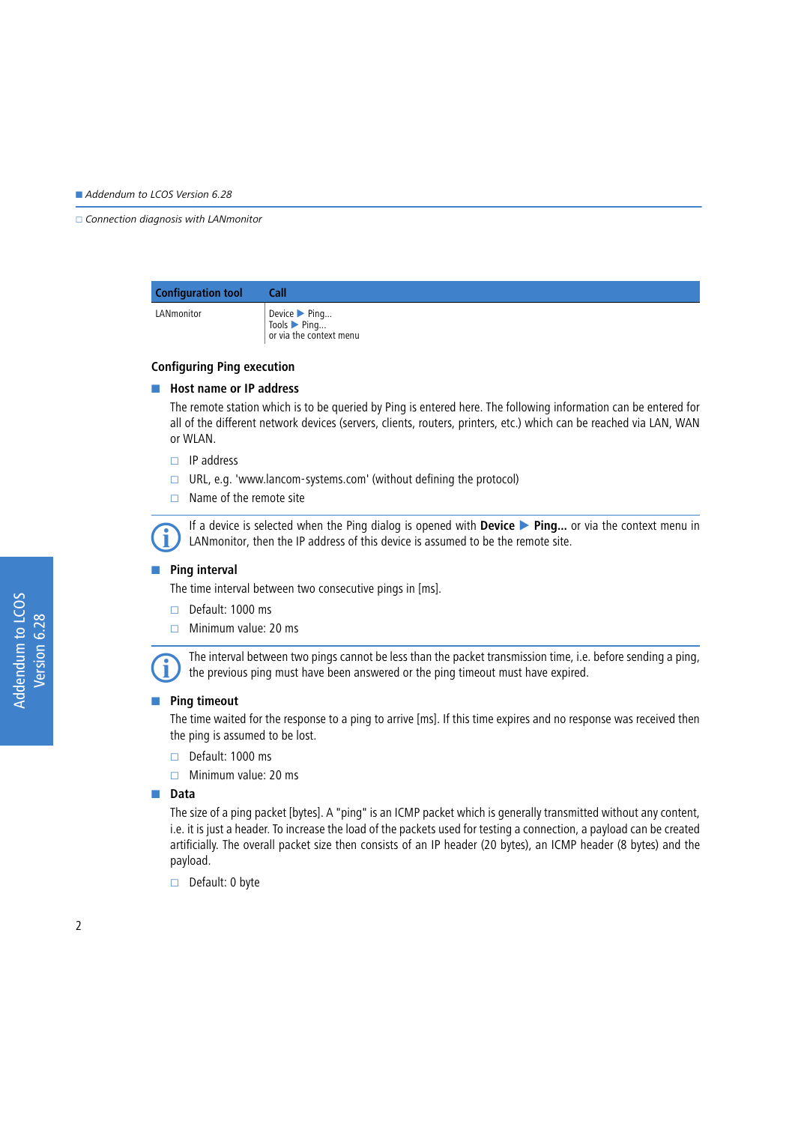#### $\Box$  Connection diagnosis with LANmonitor

| <b>Configuration tool</b> | Call                                                 |
|---------------------------|------------------------------------------------------|
| LANmonitor                | Device Ping<br>Tools Ping<br>or via the context menu |

#### **Configuring Ping execution**

#### **Host name or IP address**

The remote station which is to be queried by Ping is entered here. The following information can be entered for all of the different network devices (servers, clients, routers, printers, etc.) which can be reached via LAN, WAN or WLAN.

- $\Box$  IP address
- $\Box$  URL, e.g. 'www.lancom-systems.com' (without defining the protocol)
- $\Box$  Name of the remote site

 If a device is selected when the Ping dialog is opened with **Device Ping...** or via the context menu in LANmonitor, then the IP address of this device is assumed to be the remote site.

#### **Ping interval**

The time interval between two consecutive pings in [ms].

- $\Box$  Default: 1000 ms
- $\Box$  Minimum value: 20 ms



 The interval between two pings cannot be less than the packet transmission time, i.e. before sending a ping, the previous ping must have been answered or the ping timeout must have expired.

#### **Ping timeout**

The time waited for the response to a ping to arrive [ms]. If this time expires and no response was received then the ping is assumed to be lost.

- $\Box$  Default: 1000 ms
- $\Box$  Minimum value: 20 ms

#### -**Data**

The size of a ping packet [bytes]. A "ping" is an ICMP packet which is generally transmitted without any content, i.e. it is just a header. To increase the load of the packets used for testing a connection, a payload can be created artificially. The overall packet size then consists of an IP header (20 bytes), an ICMP header (8 bytes) and the payload.

 $\Box$  Default: 0 byte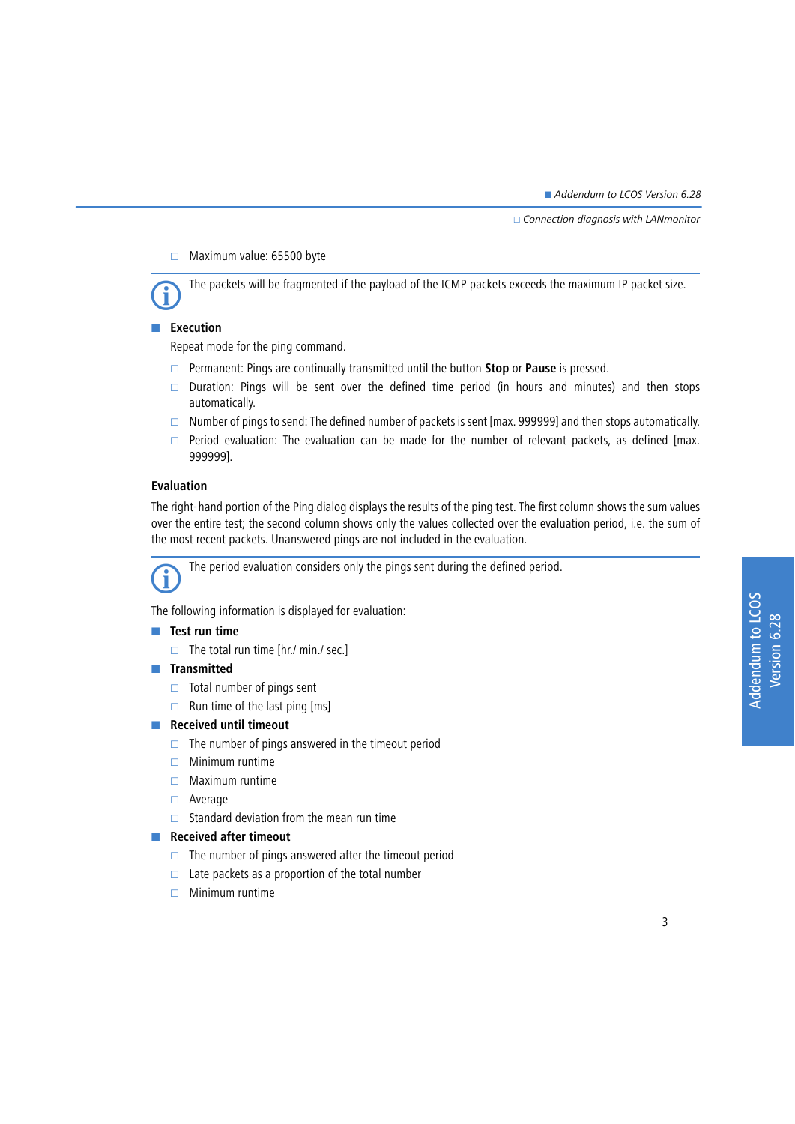$\Box$  Connection diagnosis with LANmonitor

 $\Box$  Maximum value: 65500 byte

The packets will be fragmented if the payload of the ICMP packets exceeds the maximum IP packet size.

### **Execution**

Repeat mode for the ping command.

- Permanent: Pings are continually transmitted until the button **Stop** or **Pause** is pressed.
- Duration: Pings will be sent over the defined time period (in hours and minutes) and then stops automatically.
- $\Box$  Number of pings to send: The defined number of packets is sent [max. 999999] and then stops automatically.
- $\Box$  Period evaluation: The evaluation can be made for the number of relevant packets, as defined [max. 999999].

#### **Evaluation**

The right-hand portion of the Ping dialog displays the results of the ping test. The first column shows the sum values over the entire test; the second column shows only the values collected over the evaluation period, i.e. the sum of the most recent packets. Unanswered pings are not included in the evaluation.

The period evaluation considers only the pings sent during the defined period.

The following information is displayed for evaluation:

#### **Test run time**

 $\Box$  The total run time [hr./ min./ sec.]

#### $\blacksquare$  Transmitted

- $\Box$  Total number of pings sent
- $\Box$  Run time of the last ping [ms]

#### **Received until timeout**

- $\Box$  The number of pings answered in the timeout period
- $\Box$  Minimum runtime
- $\Box$  Maximum runtime
- □ Average
- $\Box$  Standard deviation from the mean run time

#### **Received after timeout**

- $\Box$  The number of pings answered after the timeout period
- $\Box$  Late packets as a proportion of the total number
- $\Box$  Minimum runtime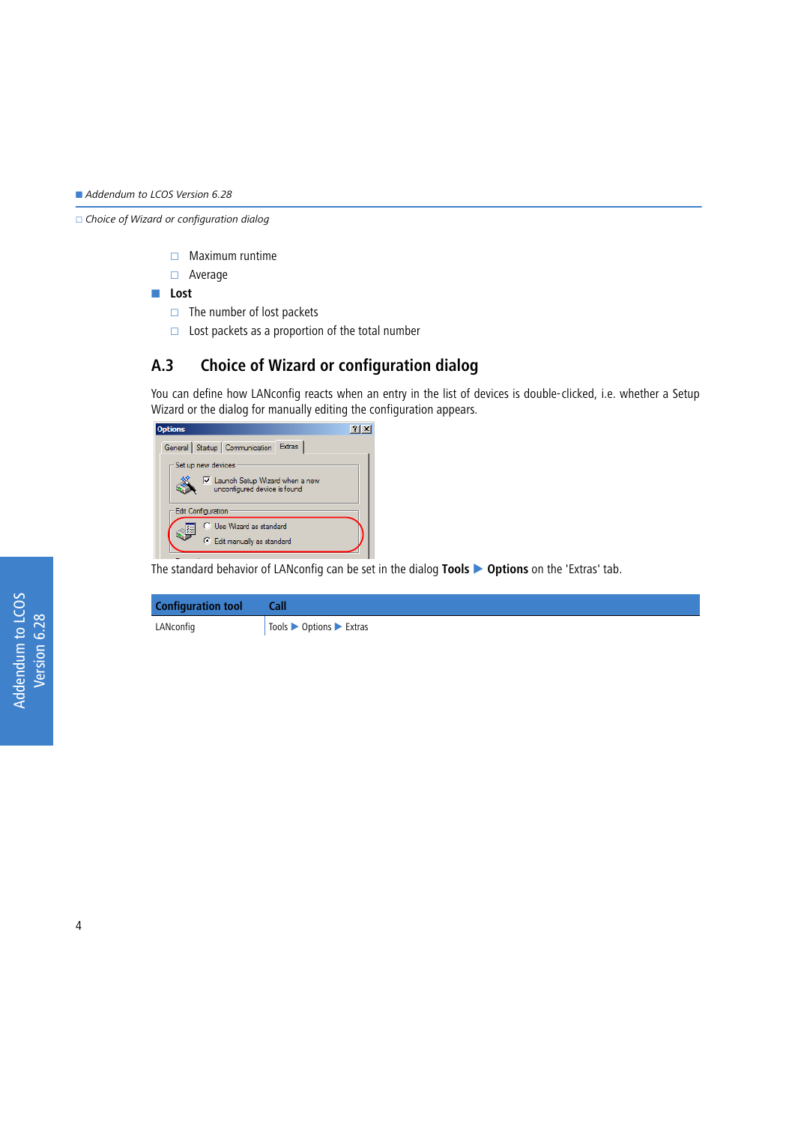□ Choice of Wizard or configuration dialog

- $\Box$  Maximum runtime
- Average

- **Lost**

- $\Box$  The number of lost packets
- $\Box$  Lost packets as a proportion of the total number

# <span id="page-3-0"></span>**A.3 Choice of Wizard or configuration dialog**

You can define how LANconfig reacts when an entry in the list of devices is double-clicked, i.e. whether a Setup Wizard or the dialog for manually editing the configuration appears.

| <b>Options</b>                                                    |  |  |
|-------------------------------------------------------------------|--|--|
| General Startup Communication Extras                              |  |  |
| Set up new devices                                                |  |  |
| Iv Launch Setup Wizard when a new<br>unconfigured device is found |  |  |
| <b>Edit Configuration</b>                                         |  |  |
| C Use Wizard as standard<br>辍                                     |  |  |
| Edit manually as standard                                         |  |  |

The standard behavior of LANconfig can be set in the dialog **Tools Options** on the 'Extras' tab.

| <b>Configuration tool</b> | Call                                                          |
|---------------------------|---------------------------------------------------------------|
| LANconfig                 | $\log$ Tools $\triangleright$ Options $\triangleright$ Extras |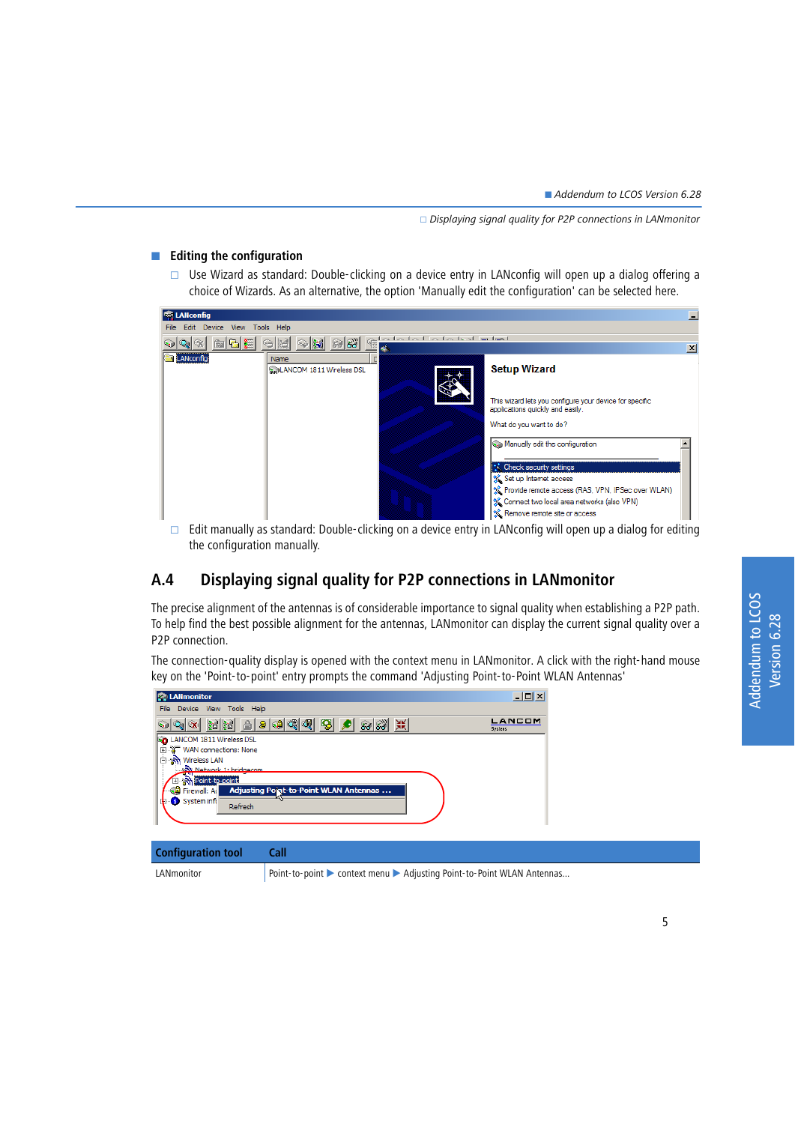### **Example 1** Editing the configuration

 $\Box$  Use Wizard as standard: Double-clicking on a device entry in LANconfig will open up a dialog offering a choice of Wizards. As an alternative, the option 'Manually edit the configuration' can be selected here.



Edit manually as standard: Double-clicking on a device entry in LANconfig will open up a dialog for editing the configuration manually.

# <span id="page-4-0"></span>**A.4 Displaying signal quality for P2P connections in LANmonitor**

The precise alignment of the antennas is of considerable importance to signal quality when establishing a P2P path. To help find the best possible alignment for the antennas, LANmonitor can display the current signal quality over a P2P connection.

The connection-quality display is opened with the context menu in LANmonitor. A click with the right-hand mouse key on the 'Point-to-point' entry prompts the command 'Adjusting Point-to-Point WLAN Antennas'

| <b>EQ</b> LANmonitor                                                      | $-12X$            |  |
|---------------------------------------------------------------------------|-------------------|--|
| Device View Tools Help<br>File                                            |                   |  |
| 음    응   후    (후    (후   <br>S<br>結結<br>黑<br>ाञ<br>500                    | LANCOM<br>Systems |  |
| LANCOM 1811 Wireless DSL<br>l۵o                                           |                   |  |
| <b>T</b> WAN connections: None<br>由                                       |                   |  |
| <b>%</b> Wireless LAN<br>Ė                                                |                   |  |
| Set Network 1: bridgecom                                                  |                   |  |
| <b>Ellisent</b> Point-to-point                                            |                   |  |
| Adjusting Point-to-Point WLAN Antennas<br><mark>့ရ</mark> ှိ Firewall: Ad |                   |  |
| <b>R</b> System info<br>Refresh                                           |                   |  |
|                                                                           |                   |  |

| <b>Configuration tool</b> | Call                                                                   |
|---------------------------|------------------------------------------------------------------------|
| LANmonitor                | Point-to-point ▶ context menu ▶ Adjusting Point-to-Point WLAN Antennas |